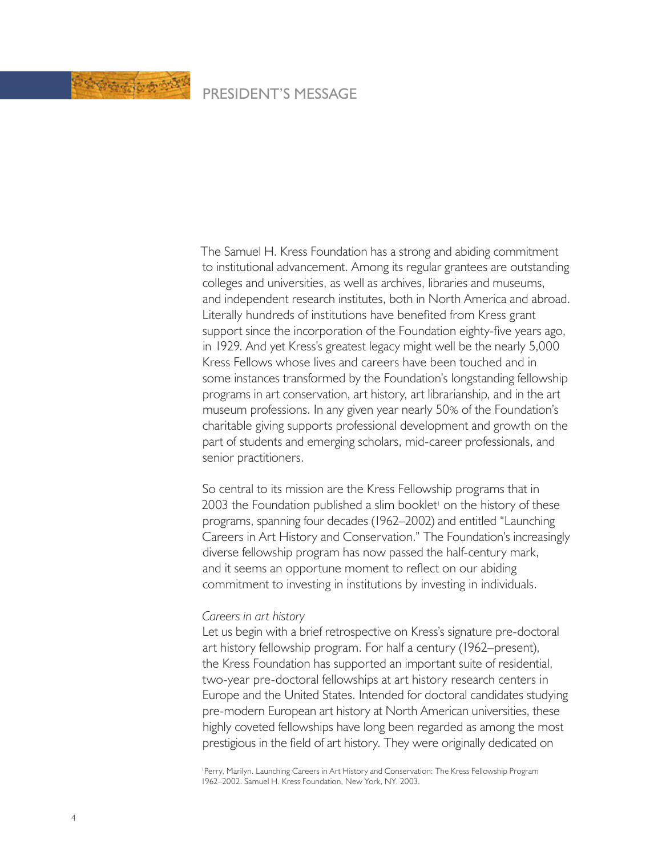

## PRESIDENT'S MESSAGE

The Samuel H. Kress Foundation has a strong and abiding commitment to institutional advancement. Among its regular grantees are outstanding colleges and universities, as well as archives, libraries and museums, and independent research institutes, both in North America and abroad. Literally hundreds of institutions have benefited from Kress grant support since the incorporation of the Foundation eighty-five years ago, in 1929. And yet Kress's greatest legacy might well be the nearly 5,000 Kress Fellows whose lives and careers have been touched and in some instances transformed by the Foundation's longstanding fellowship programs in art conservation, art history, art librarianship, and in the art museum professions. In any given year nearly 50% of the Foundation's charitable giving supports professional development and growth on the part of students and emerging scholars, mid-career professionals, and senior practitioners.

So central to its mission are the Kress Fellowship programs that in 2003 the Foundation published a slim booklet<sup>1</sup> on the history of these programs, spanning four decades (1962–2002) and entitled "Launching Careers in Art History and Conservation." The Foundation's increasingly diverse fellowship program has now passed the half-century mark, and it seems an opportune moment to reflect on our abiding commitment to investing in institutions by investing in individuals.

## *Careers in art history*

Let us begin with a brief retrospective on Kress's signature pre-doctoral art history fellowship program. For half a century (1962–present), the Kress Foundation has supported an important suite of residential, two-year pre-doctoral fellowships at art history research centers in Europe and the United States. Intended for doctoral candidates studying pre-modern European art history at North American universities, these highly coveted fellowships have long been regarded as among the most prestigious in the field of art history. They were originally dedicated on

1 Perry, Marilyn. Launching Careers in Art History and Conservation: The Kress Fellowship Program 1962–2002. Samuel H. Kress Foundation, New York, NY. 2003.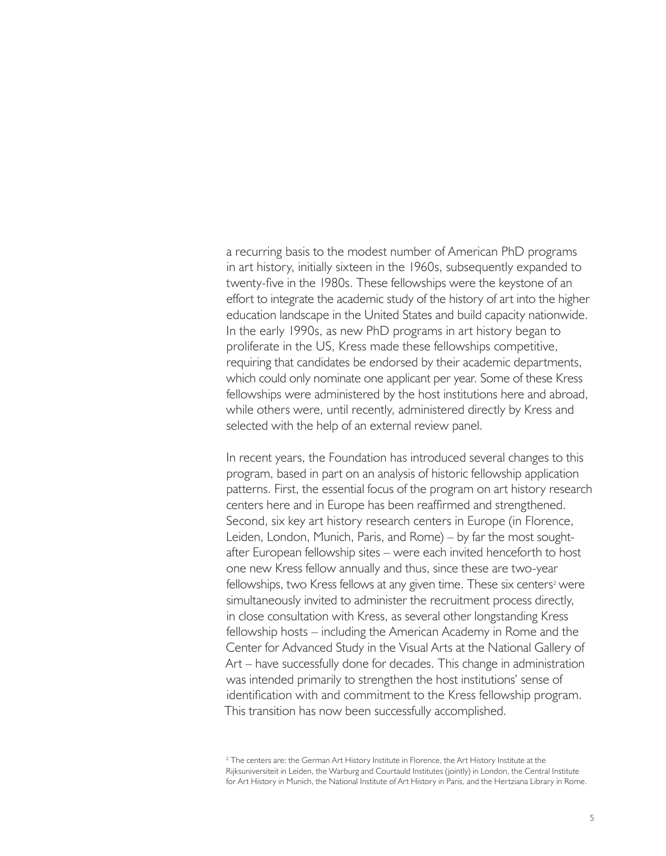a recurring basis to the modest number of American PhD programs in art history, initially sixteen in the 1960s, subsequently expanded to twenty-five in the 1980s. These fellowships were the keystone of an effort to integrate the academic study of the history of art into the higher education landscape in the United States and build capacity nationwide. In the early 1990s, as new PhD programs in art history began to proliferate in the US, Kress made these fellowships competitive, requiring that candidates be endorsed by their academic departments, which could only nominate one applicant per year. Some of these Kress fellowships were administered by the host institutions here and abroad, while others were, until recently, administered directly by Kress and selected with the help of an external review panel.

In recent years, the Foundation has introduced several changes to this program, based in part on an analysis of historic fellowship application patterns. First, the essential focus of the program on art history research centers here and in Europe has been reaffirmed and strengthened. Second, six key art history research centers in Europe (in Florence, Leiden, London, Munich, Paris, and Rome) – by far the most soughtafter European fellowship sites – were each invited henceforth to host one new Kress fellow annually and thus, since these are two-year fellowships, two Kress fellows at any given time. These six centers<sup>2</sup> were simultaneously invited to administer the recruitment process directly, in close consultation with Kress, as several other longstanding Kress fellowship hosts – including the American Academy in Rome and the Center for Advanced Study in the Visual Arts at the National Gallery of Art – have successfully done for decades. This change in administration was intended primarily to strengthen the host institutions' sense of identification with and commitment to the Kress fellowship program. This transition has now been successfully accomplished.

 $^2$  The centers are: the German Art History Institute in Florence, the Art History Institute at the  $^2$ Rijksuniversiteit in Leiden, the Warburg and Courtauld Institutes (jointly) in London, the Central Institute for Art History in Munich, the National Institute of Art History in Paris, and the Hertziana Library in Rome.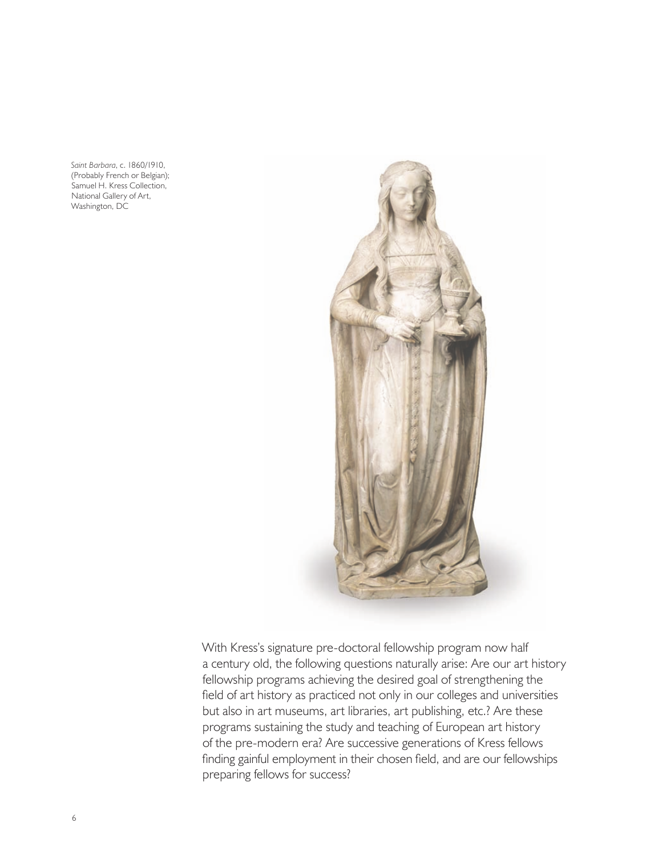*Saint Barbara*, c. 1860/1910, (Probably French or Belgian); Samuel H. Kress Collection, National Gallery of Art, Washington, DC



With Kress's signature pre-doctoral fellowship program now half a century old, the following questions naturally arise: Are our art history fellowship programs achieving the desired goal of strengthening the field of art history as practiced not only in our colleges and universities but also in art museums, art libraries, art publishing, etc.? Are these programs sustaining the study and teaching of European art history of the pre-modern era? Are successive generations of Kress fellows finding gainful employment in their chosen field, and are our fellowships preparing fellows for success?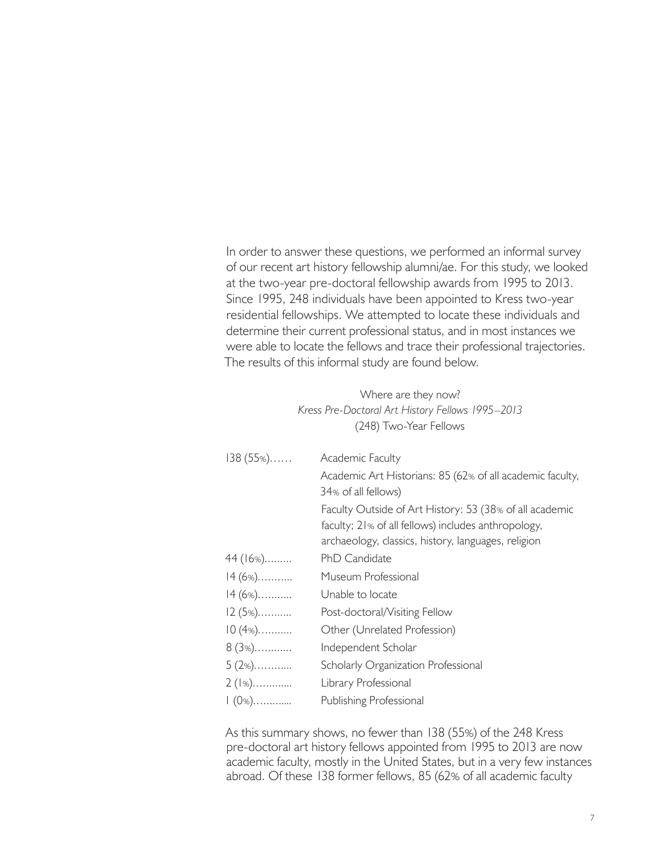In order to answer these questions, we performed an informal survey of our recent art history fellowship alumni/ae. For this study, we looked at the two-year pre-doctoral fellowship awards from 1995 to 2013. Since 1995, 248 individuals have been appointed to Kress two-year residential fellowships. We attempted to locate these individuals and determine their current professional status, and in most instances we were able to locate the fellows and trace their professional trajectories. The results of this informal study are found below.

| Where are they now?                              |                                                                                                                |  |
|--------------------------------------------------|----------------------------------------------------------------------------------------------------------------|--|
| Kress Pre-Doctoral Art History Fellows 1995–2013 |                                                                                                                |  |
|                                                  | (248) Two-Year Fellows                                                                                         |  |
|                                                  |                                                                                                                |  |
| $138(55%)$                                       | <b>Academic Faculty</b>                                                                                        |  |
|                                                  | Academic Art Historians: 85 (62% of all academic faculty,<br>34% of all fellows)                               |  |
|                                                  | Faculty Outside of Art History: 53 (38% of all academic<br>faculty; 21% of all fellows) includes anthropology, |  |
|                                                  | archaeology, classics, history, languages, religion                                                            |  |
| 44 (16%)                                         | PhD Candidate                                                                                                  |  |
| $14(6\%)$                                        | Museum Professional                                                                                            |  |
| $14(6\%)$                                        | Unable to locate                                                                                               |  |
| $12(5\%)$                                        | Post-doctoral/Visiting Fellow                                                                                  |  |
| $10(4\%)$                                        | Other (Unrelated Profession)                                                                                   |  |
| $8(3\%)$                                         | Independent Scholar                                                                                            |  |
| $5(2\%)$                                         | Scholarly Organization Professional                                                                            |  |
| $2(1\%)$                                         | Library Professional                                                                                           |  |
| $1(0\%)$                                         | Publishing Professional                                                                                        |  |

As this summary shows, no fewer than 138 (55%) of the 248 Kress pre-doctoral art history fellows appointed from 1995 to 2013 are now academic faculty, mostly in the United States, but in a very few instances abroad. Of these 138 former fellows, 85 (62% of all academic faculty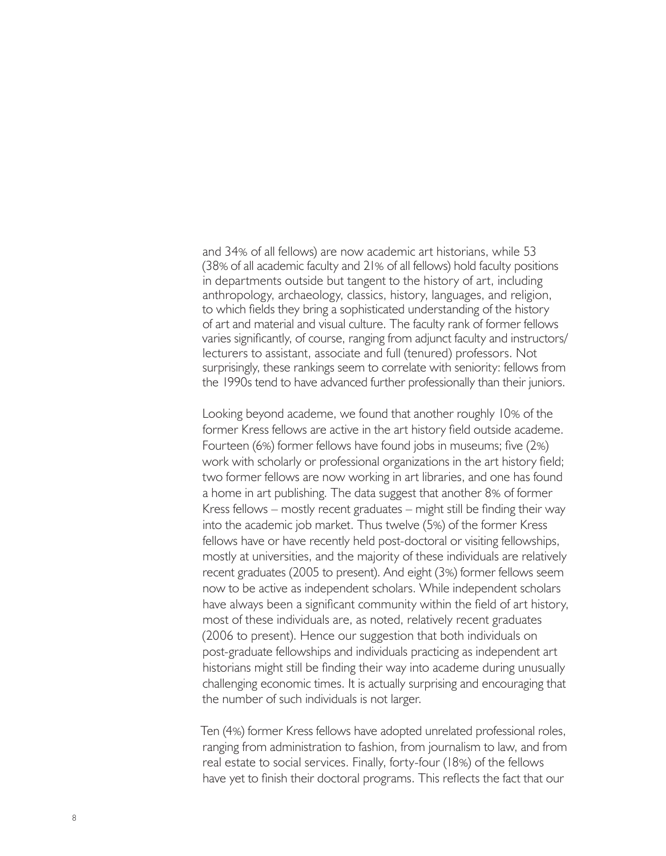and 34% of all fellows) are now academic art historians, while 53 (38% of all academic faculty and 21% of all fellows) hold faculty positions in departments outside but tangent to the history of art, including anthropology, archaeology, classics, history, languages, and religion, to which fields they bring a sophisticated understanding of the history of art and material and visual culture. The faculty rank of former fellows varies significantly, of course, ranging from adjunct faculty and instructors/ lecturers to assistant, associate and full (tenured) professors. Not surprisingly, these rankings seem to correlate with seniority: fellows from the 1990s tend to have advanced further professionally than their juniors.

Looking beyond academe, we found that another roughly 10% of the former Kress fellows are active in the art history field outside academe. Fourteen (6%) former fellows have found jobs in museums; five (2%) work with scholarly or professional organizations in the art history field; two former fellows are now working in art libraries, and one has found a home in art publishing. The data suggest that another 8% of former Kress fellows – mostly recent graduates – might still be finding their way into the academic job market. Thus twelve (5%) of the former Kress fellows have or have recently held post-doctoral or visiting fellowships, mostly at universities, and the majority of these individuals are relatively recent graduates (2005 to present). And eight (3%) former fellows seem now to be active as independent scholars. While independent scholars have always been a significant community within the field of art history, most of these individuals are, as noted, relatively recent graduates (2006 to present). Hence our suggestion that both individuals on post-graduate fellowships and individuals practicing as independent art historians might still be finding their way into academe during unusually challenging economic times. It is actually surprising and encouraging that the number of such individuals is not larger.

Ten (4%) former Kress fellows have adopted unrelated professional roles, ranging from administration to fashion, from journalism to law, and from real estate to social services. Finally, forty-four (18%) of the fellows have yet to finish their doctoral programs. This reflects the fact that our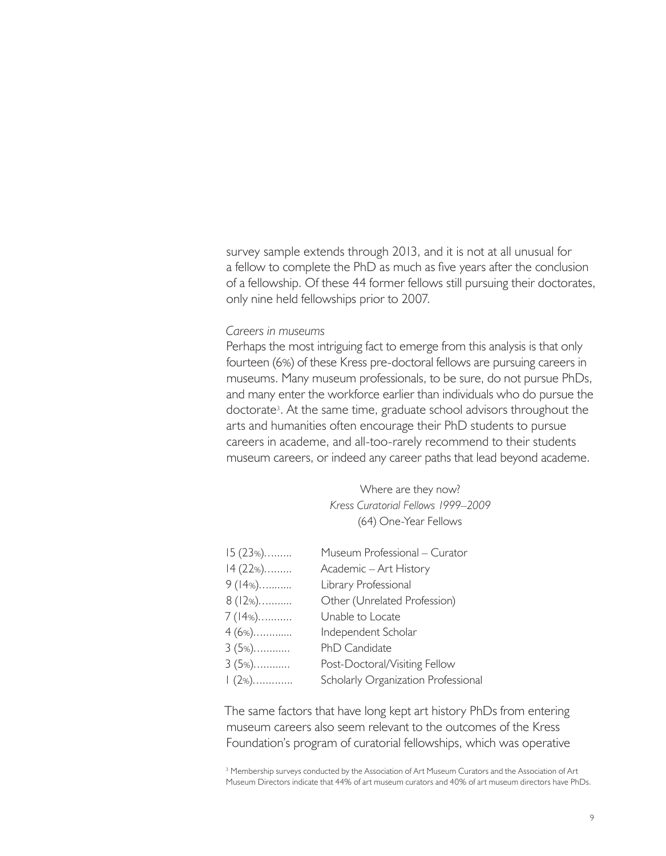survey sample extends through 2013, and it is not at all unusual for a fellow to complete the PhD as much as five years after the conclusion of a fellowship. Of these 44 former fellows still pursuing their doctorates, only nine held fellowships prior to 2007.

## *Careers in museums*

Perhaps the most intriguing fact to emerge from this analysis is that only fourteen (6%) of these Kress pre-doctoral fellows are pursuing careers in museums. Many museum professionals, to be sure, do not pursue PhDs, and many enter the workforce earlier than individuals who do pursue the doctorate3 . At the same time, graduate school advisors throughout the arts and humanities often encourage their PhD students to pursue careers in academe, and all-too-rarely recommend to their students museum careers, or indeed any career paths that lead beyond academe.

> Where are they now? *Kress Curatorial Fellows 1999–2009* (64) One-Year Fellows

| $15(23%)$ | Museum Professional - Curator       |
|-----------|-------------------------------------|
| $14(22%)$ | Academic - Art History              |
| $9(14\%)$ | Library Professional                |
| $8(12\%)$ | Other (Unrelated Profession)        |
| $7(14\%)$ | Unable to Locate                    |
| $4(6\%)$  | Independent Scholar                 |
| $3(5\%)$  | PhD Candidate                       |
| $3(5\%)$  | Post-Doctoral/Visiting Fellow       |
| l (2%).   | Scholarly Organization Professional |

The same factors that have long kept art history PhDs from entering museum careers also seem relevant to the outcomes of the Kress Foundation's program of curatorial fellowships, which was operative

<sup>3</sup> Membership surveys conducted by the Association of Art Museum Curators and the Association of Art Museum Directors indicate that 44% of art museum curators and 40% of art museum directors have PhDs.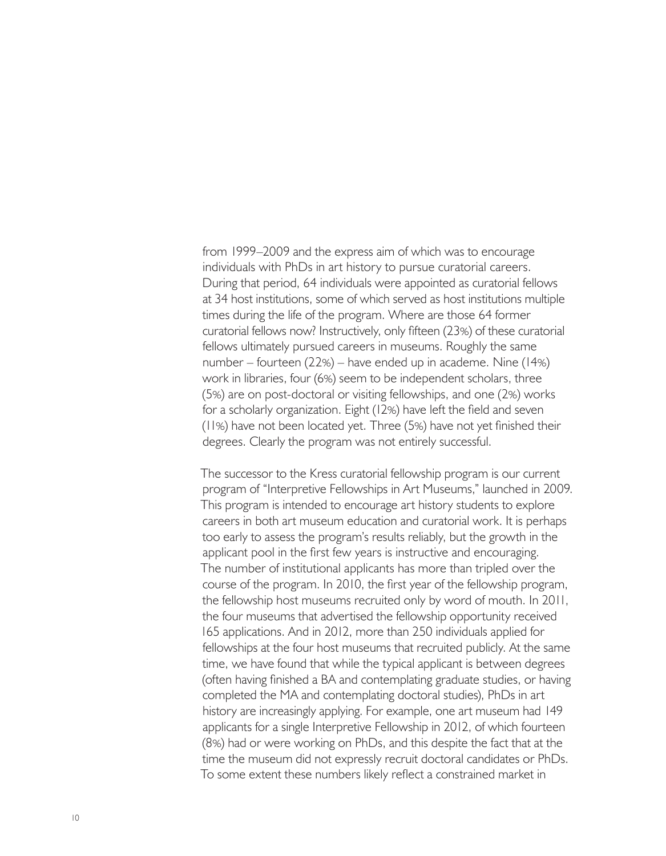from 1999–2009 and the express aim of which was to encourage individuals with PhDs in art history to pursue curatorial careers. During that period, 64 individuals were appointed as curatorial fellows at 34 host institutions, some of which served as host institutions multiple times during the life of the program. Where are those 64 former curatorial fellows now? Instructively, only fifteen (23%) of these curatorial fellows ultimately pursued careers in museums. Roughly the same number – fourteen (22%) – have ended up in academe. Nine (14%) work in libraries, four (6%) seem to be independent scholars, three (5%) are on post-doctoral or visiting fellowships, and one (2%) works for a scholarly organization. Eight (12%) have left the field and seven (11%) have not been located yet. Three (5%) have not yet finished their degrees. Clearly the program was not entirely successful.

The successor to the Kress curatorial fellowship program is our current program of "Interpretive Fellowships in Art Museums," launched in 2009. This program is intended to encourage art history students to explore careers in both art museum education and curatorial work. It is perhaps too early to assess the program's results reliably, but the growth in the applicant pool in the first few years is instructive and encouraging. The number of institutional applicants has more than tripled over the course of the program. In 2010, the first year of the fellowship program, the fellowship host museums recruited only by word of mouth. In 2011, the four museums that advertised the fellowship opportunity received 165 applications. And in 2012, more than 250 individuals applied for fellowships at the four host museums that recruited publicly. At the same time, we have found that while the typical applicant is between degrees (often having finished a BA and contemplating graduate studies, or having completed the MA and contemplating doctoral studies), PhDs in art history are increasingly applying. For example, one art museum had 149 applicants for a single Interpretive Fellowship in 2012, of which fourteen (8%) had or were working on PhDs, and this despite the fact that at the time the museum did not expressly recruit doctoral candidates or PhDs. To some extent these numbers likely reflect a constrained market in